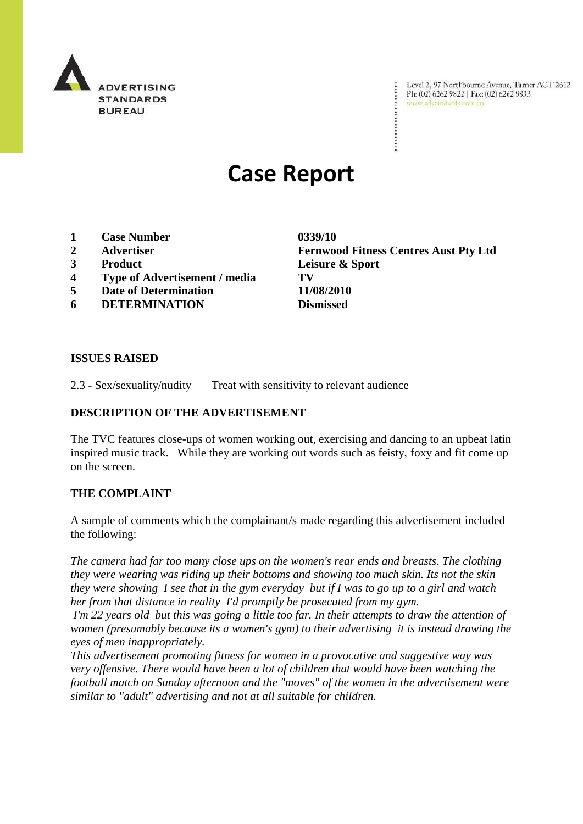

Level 2, 97 Northbourne Avenue, Turner ACT 2612 Ph: (02) 6262 9822 | Fax: (02) 6262 9833 www.adstandards.com.au

# **Case Report**

- **1 Case Number 0339/10**
- 
- 
- **4 Type of Advertisement / media TV**
- **5 Date of Determination 11/08/2010**
- **6 DETERMINATION Dismissed**

**2 Advertiser Fernwood Fitness Centres Aust Pty Ltd 3 Product Leisure & Sport**

 $\ddot{\cdot}$ 

### **ISSUES RAISED**

2.3 - Sex/sexuality/nudity Treat with sensitivity to relevant audience

# **DESCRIPTION OF THE ADVERTISEMENT**

The TVC features close-ups of women working out, exercising and dancing to an upbeat latin inspired music track. While they are working out words such as feisty, foxy and fit come up on the screen.

#### **THE COMPLAINT**

A sample of comments which the complainant/s made regarding this advertisement included the following:

*The camera had far too many close ups on the women's rear ends and breasts. The clothing they were wearing was riding up their bottoms and showing too much skin. Its not the skin they were showing I see that in the gym everyday but if I was to go up to a girl and watch her from that distance in reality I'd promptly be prosecuted from my gym.*

*I'm 22 years old but this was going a little too far. In their attempts to draw the attention of women (presumably because its a women's gym) to their advertising it is instead drawing the eyes of men inappropriately.* 

*This advertisement promoting fitness for women in a provocative and suggestive way was very offensive. There would have been a lot of children that would have been watching the football match on Sunday afternoon and the "moves" of the women in the advertisement were similar to "adult" advertising and not at all suitable for children.*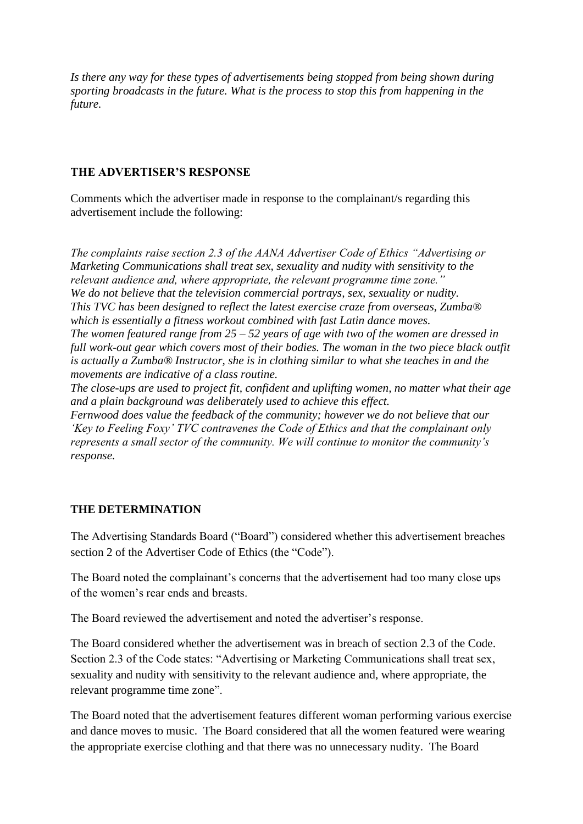*Is there any way for these types of advertisements being stopped from being shown during sporting broadcasts in the future. What is the process to stop this from happening in the future.*

## **THE ADVERTISER'S RESPONSE**

Comments which the advertiser made in response to the complainant/s regarding this advertisement include the following:

*The complaints raise section 2.3 of the AANA Advertiser Code of Ethics "Advertising or Marketing Communications shall treat sex, sexuality and nudity with sensitivity to the relevant audience and, where appropriate, the relevant programme time zone." We do not believe that the television commercial portrays, sex, sexuality or nudity. This TVC has been designed to reflect the latest exercise craze from overseas, Zumba® which is essentially a fitness workout combined with fast Latin dance moves. The women featured range from 25 – 52 years of age with two of the women are dressed in*  full work-out gear which covers most of their bodies. The woman in the two piece black outfit *is actually a Zumba® Instructor, she is in clothing similar to what she teaches in and the movements are indicative of a class routine.* 

*The close-ups are used to project fit, confident and uplifting women, no matter what their age and a plain background was deliberately used to achieve this effect.*

*Fernwood does value the feedback of the community; however we do not believe that our "Key to Feeling Foxy" TVC contravenes the Code of Ethics and that the complainant only represents a small sector of the community. We will continue to monitor the community"s response.* 

# **THE DETERMINATION**

The Advertising Standards Board ("Board") considered whether this advertisement breaches section 2 of the Advertiser Code of Ethics (the "Code").

The Board noted the complainant's concerns that the advertisement had too many close ups of the women's rear ends and breasts.

The Board reviewed the advertisement and noted the advertiser's response.

The Board considered whether the advertisement was in breach of section 2.3 of the Code. Section 2.3 of the Code states: "Advertising or Marketing Communications shall treat sex, sexuality and nudity with sensitivity to the relevant audience and, where appropriate, the relevant programme time zone".

The Board noted that the advertisement features different woman performing various exercise and dance moves to music. The Board considered that all the women featured were wearing the appropriate exercise clothing and that there was no unnecessary nudity. The Board